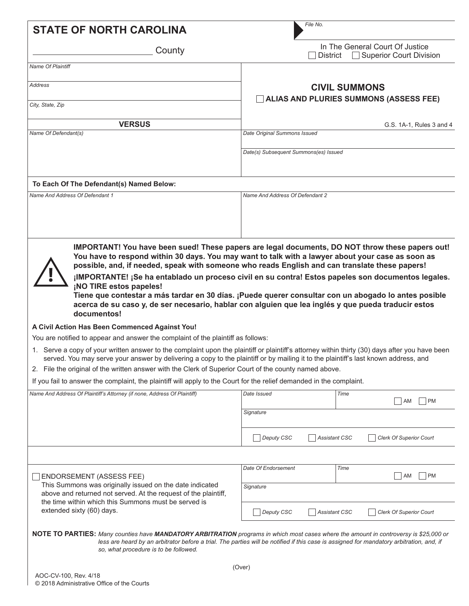| <b>STATE OF NORTH CAROLINA</b>                                                                                                                                                                                                                                                                                                                                                                                                                                                                                                                                                                                                    | File No.                                                                                                                                                                                                                                                                                                                                                                                                                                                                                                                                                                                                                                                                                                                                                                                                                        |  |  |
|-----------------------------------------------------------------------------------------------------------------------------------------------------------------------------------------------------------------------------------------------------------------------------------------------------------------------------------------------------------------------------------------------------------------------------------------------------------------------------------------------------------------------------------------------------------------------------------------------------------------------------------|---------------------------------------------------------------------------------------------------------------------------------------------------------------------------------------------------------------------------------------------------------------------------------------------------------------------------------------------------------------------------------------------------------------------------------------------------------------------------------------------------------------------------------------------------------------------------------------------------------------------------------------------------------------------------------------------------------------------------------------------------------------------------------------------------------------------------------|--|--|
| County                                                                                                                                                                                                                                                                                                                                                                                                                                                                                                                                                                                                                            | In The General Court Of Justice<br><b>Superior Court Division</b><br><b>District</b>                                                                                                                                                                                                                                                                                                                                                                                                                                                                                                                                                                                                                                                                                                                                            |  |  |
| Name Of Plaintiff                                                                                                                                                                                                                                                                                                                                                                                                                                                                                                                                                                                                                 |                                                                                                                                                                                                                                                                                                                                                                                                                                                                                                                                                                                                                                                                                                                                                                                                                                 |  |  |
| <b>Address</b>                                                                                                                                                                                                                                                                                                                                                                                                                                                                                                                                                                                                                    | <b>CIVIL SUMMONS</b>                                                                                                                                                                                                                                                                                                                                                                                                                                                                                                                                                                                                                                                                                                                                                                                                            |  |  |
| City, State, Zip                                                                                                                                                                                                                                                                                                                                                                                                                                                                                                                                                                                                                  | <b>ALIAS AND PLURIES SUMMONS (ASSESS FEE)</b>                                                                                                                                                                                                                                                                                                                                                                                                                                                                                                                                                                                                                                                                                                                                                                                   |  |  |
| <b>VERSUS</b>                                                                                                                                                                                                                                                                                                                                                                                                                                                                                                                                                                                                                     | G.S. 1A-1. Rules 3 and 4                                                                                                                                                                                                                                                                                                                                                                                                                                                                                                                                                                                                                                                                                                                                                                                                        |  |  |
| Name Of Defendant(s)                                                                                                                                                                                                                                                                                                                                                                                                                                                                                                                                                                                                              | Date Original Summons Issued                                                                                                                                                                                                                                                                                                                                                                                                                                                                                                                                                                                                                                                                                                                                                                                                    |  |  |
|                                                                                                                                                                                                                                                                                                                                                                                                                                                                                                                                                                                                                                   | Date(s) Subsequent Summons(es) Issued                                                                                                                                                                                                                                                                                                                                                                                                                                                                                                                                                                                                                                                                                                                                                                                           |  |  |
| To Each Of The Defendant(s) Named Below:                                                                                                                                                                                                                                                                                                                                                                                                                                                                                                                                                                                          |                                                                                                                                                                                                                                                                                                                                                                                                                                                                                                                                                                                                                                                                                                                                                                                                                                 |  |  |
| Name And Address Of Defendant 1                                                                                                                                                                                                                                                                                                                                                                                                                                                                                                                                                                                                   | Name And Address Of Defendant 2                                                                                                                                                                                                                                                                                                                                                                                                                                                                                                                                                                                                                                                                                                                                                                                                 |  |  |
|                                                                                                                                                                                                                                                                                                                                                                                                                                                                                                                                                                                                                                   |                                                                                                                                                                                                                                                                                                                                                                                                                                                                                                                                                                                                                                                                                                                                                                                                                                 |  |  |
|                                                                                                                                                                                                                                                                                                                                                                                                                                                                                                                                                                                                                                   |                                                                                                                                                                                                                                                                                                                                                                                                                                                                                                                                                                                                                                                                                                                                                                                                                                 |  |  |
| ¡NO TIRE estos papeles!<br>documentos!<br>A Civil Action Has Been Commenced Against You!<br>You are notified to appear and answer the complaint of the plaintiff as follows:<br>served. You may serve your answer by delivering a copy to the plaintiff or by mailing it to the plaintiff's last known address, and<br>2. File the original of the written answer with the Clerk of Superior Court of the county named above.<br>If you fail to answer the complaint, the plaintiff will apply to the Court for the relief demanded in the complaint.<br>Name And Address Of Plaintiff's Attorney (if none, Address Of Plaintiff) | IMPORTANT! You have been sued! These papers are legal documents, DO NOT throw these papers out!<br>You have to respond within 30 days. You may want to talk with a lawyer about your case as soon as<br>possible, and, if needed, speak with someone who reads English and can translate these papers!<br>¡IMPORTANTE! ¡Se ha entablado un proceso civil en su contra! Estos papeles son documentos legales.<br>Tiene que contestar a más tardar en 30 días. ¡Puede querer consultar con un abogado lo antes posible<br>acerca de su caso y, de ser necesario, hablar con alguien que lea inglés y que pueda traducir estos<br>1. Serve a copy of your written answer to the complaint upon the plaintiff or plaintiff's attorney within thirty (30) days after you have been<br>Date Issued<br>Time<br> AM<br> PM<br>Signature |  |  |
|                                                                                                                                                                                                                                                                                                                                                                                                                                                                                                                                                                                                                                   | Deputy CSC<br>Clerk Of Superior Court<br><b>Assistant CSC</b>                                                                                                                                                                                                                                                                                                                                                                                                                                                                                                                                                                                                                                                                                                                                                                   |  |  |
|                                                                                                                                                                                                                                                                                                                                                                                                                                                                                                                                                                                                                                   |                                                                                                                                                                                                                                                                                                                                                                                                                                                                                                                                                                                                                                                                                                                                                                                                                                 |  |  |
| <b>ENDORSEMENT (ASSESS FEE)</b>                                                                                                                                                                                                                                                                                                                                                                                                                                                                                                                                                                                                   | Date Of Endorsement<br>Time<br> PM<br>AM                                                                                                                                                                                                                                                                                                                                                                                                                                                                                                                                                                                                                                                                                                                                                                                        |  |  |
| This Summons was originally issued on the date indicated<br>above and returned not served. At the request of the plaintiff,<br>the time within which this Summons must be served is                                                                                                                                                                                                                                                                                                                                                                                                                                               | Signature                                                                                                                                                                                                                                                                                                                                                                                                                                                                                                                                                                                                                                                                                                                                                                                                                       |  |  |
| extended sixty (60) days.                                                                                                                                                                                                                                                                                                                                                                                                                                                                                                                                                                                                         | Deputy CSC<br><b>Assistant CSC</b><br><b>Clerk Of Superior Court</b>                                                                                                                                                                                                                                                                                                                                                                                                                                                                                                                                                                                                                                                                                                                                                            |  |  |
| so, what procedure is to be followed.                                                                                                                                                                                                                                                                                                                                                                                                                                                                                                                                                                                             | NOTE TO PARTIES: Many counties have MANDATORY ARBITRATION programs in which most cases where the amount in controversy is \$25,000 or<br>less are heard by an arbitrator before a trial. The parties will be notified if this case is assigned for mandatory arbitration, and, if                                                                                                                                                                                                                                                                                                                                                                                                                                                                                                                                               |  |  |